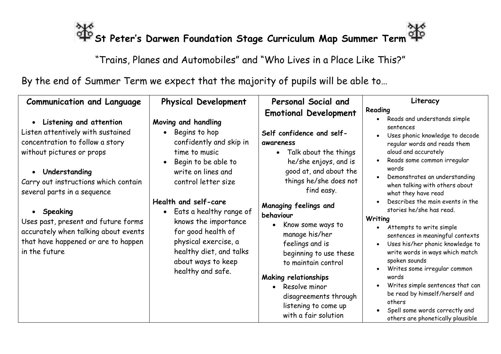## **St Peter's Darwen Foundation Stage Curriculum Map Summer Term**

"Trains, Planes and Automobiles" and "Who Lives in a Place Like This?"

By the end of Summer Term we expect that the majority of pupils will be able to…

| Reading<br><b>Emotional Development</b>                                                                                                                                                                                                                                                                                                                                                                                                                                                                                                                                                                                                                                                                                                                        |
|----------------------------------------------------------------------------------------------------------------------------------------------------------------------------------------------------------------------------------------------------------------------------------------------------------------------------------------------------------------------------------------------------------------------------------------------------------------------------------------------------------------------------------------------------------------------------------------------------------------------------------------------------------------------------------------------------------------------------------------------------------------|
| Reads and understands simple<br>sentences<br>Uses phonic knowledge to decode<br>$\bullet$<br>regular words and reads them<br>Talk about the things<br>aloud and accurately<br>Reads some common irregular<br>$\bullet$<br>words<br>Demonstrates an understanding<br>things he/she does not<br>when talking with others about<br>what they have read<br>Describes the main events in the<br>stories he/she has read.<br>Writing<br>Attempts to write simple<br>sentences in meaningful contexts<br>Uses his/her phonic knowledge to<br>$\bullet$<br>write words in ways which match<br>spoken sounds<br>Writes some irregular common<br>words<br>Writes simple sentences that can<br>be read by himself/herself and<br>others<br>Spell some words correctly and |
| he/she enjoys, and is<br>good at, and about the<br>beginning to use these<br>disagreements through<br>listening to come up                                                                                                                                                                                                                                                                                                                                                                                                                                                                                                                                                                                                                                     |